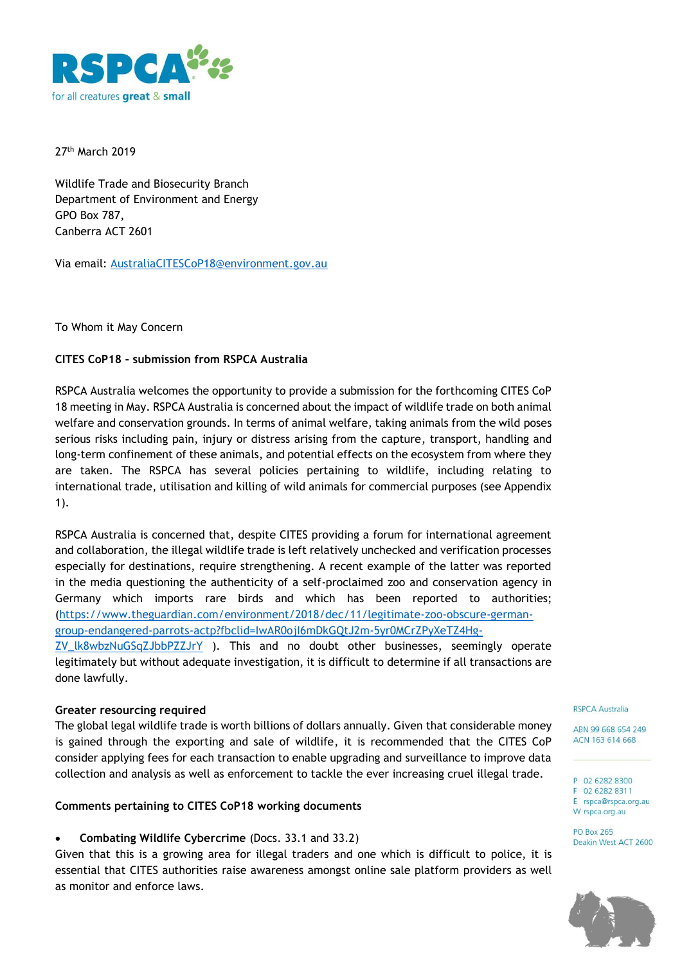

27th March 2019

Wildlife Trade and Biosecurity Branch Department of Environment and Energy GPO Box 787, Canberra ACT 2601

Via email: [AustraliaCITESCoP18@environment.gov.au](mailto:AustraliaCITESCoP18@environment.gov.au)

To Whom it May Concern

# **CITES CoP18 – submission from RSPCA Australia**

RSPCA Australia welcomes the opportunity to provide a submission for the forthcoming CITES CoP 18 meeting in May. RSPCA Australia is concerned about the impact of wildlife trade on both animal welfare and conservation grounds. In terms of animal welfare, taking animals from the wild poses serious risks including pain, injury or distress arising from the capture, transport, handling and long-term confinement of these animals, and potential effects on the ecosystem from where they are taken. The RSPCA has several policies pertaining to wildlife, including relating to international trade, utilisation and killing of wild animals for commercial purposes (see Appendix 1).

RSPCA Australia is concerned that, despite CITES providing a forum for international agreement and collaboration, the illegal wildlife trade is left relatively unchecked and verification processes especially for destinations, require strengthening. A recent example of the latter was reported in the media questioning the authenticity of a self-proclaimed zoo and conservation agency in Germany which imports rare birds and which has been reported to authorities; [\(https://www.theguardian.com/environment/2018/dec/11/legitimate-zoo-obscure-german](https://www.theguardian.com/environment/2018/dec/11/legitimate-zoo-obscure-german-group-endangered-parrots-actp?fbclid=IwAR0ojI6mDkGQtJ2m-5yr0MCrZPyXeTZ4Hg-ZV_lk8wbzNuGSqZJbbPZZJrY)[group-endangered-parrots-actp?fbclid=IwAR0ojI6mDkGQtJ2m-5yr0MCrZPyXeTZ4Hg-](https://www.theguardian.com/environment/2018/dec/11/legitimate-zoo-obscure-german-group-endangered-parrots-actp?fbclid=IwAR0ojI6mDkGQtJ2m-5yr0MCrZPyXeTZ4Hg-ZV_lk8wbzNuGSqZJbbPZZJrY)[ZV\\_lk8wbzNuGSqZJbbPZZJrY](https://www.theguardian.com/environment/2018/dec/11/legitimate-zoo-obscure-german-group-endangered-parrots-actp?fbclid=IwAR0ojI6mDkGQtJ2m-5yr0MCrZPyXeTZ4Hg-ZV_lk8wbzNuGSqZJbbPZZJrY) ). This and no doubt other businesses, seemingly operate legitimately but without adequate investigation, it is difficult to determine if all transactions are done lawfully.

# **Greater resourcing required**

The global legal wildlife trade is worth billions of dollars annually. Given that considerable money is gained through the exporting and sale of wildlife, it is recommended that the CITES CoP consider applying fees for each transaction to enable upgrading and surveillance to improve data collection and analysis as well as enforcement to tackle the ever increasing cruel illegal trade.

# **Comments pertaining to CITES CoP18 working documents**

**Combating Wildlife Cybercrime** (Docs. 33.1 and 33.2)

Given that this is a growing area for illegal traders and one which is difficult to police, it is essential that CITES authorities raise awareness amongst online sale platform providers as well as monitor and enforce laws.

#### **RSPCA Australia**

ABN 99 668 654 249 ACN 163 614 668

P 02 6282 8300 F 02 6282 8311 E rspca@rspca.org.au W rspca.org.au

**PO Box 265** Deakin West ACT 2600

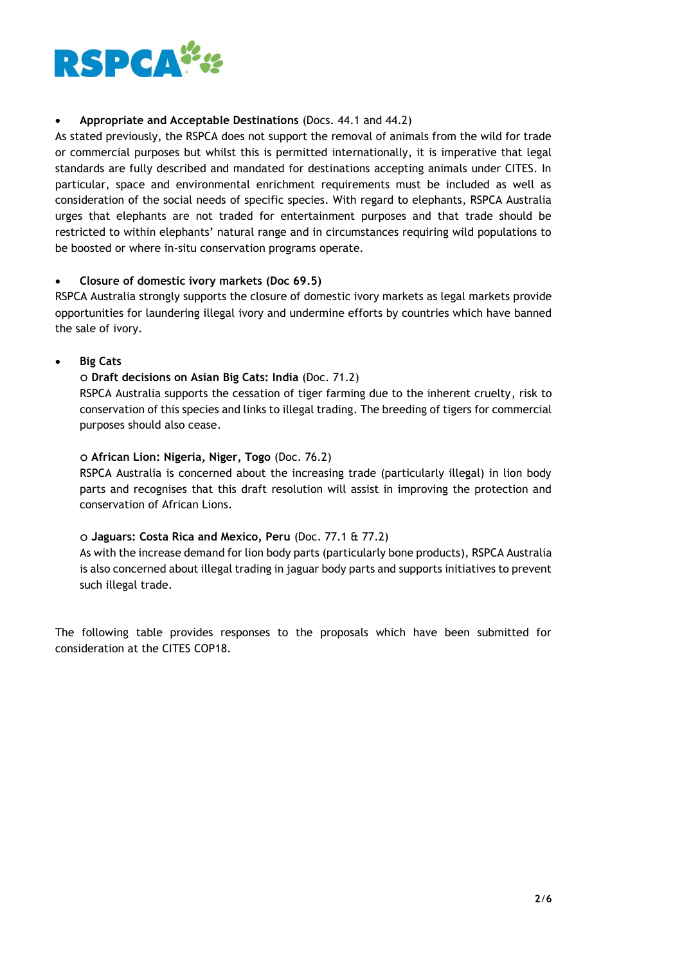

# **Appropriate and Acceptable Destinations** (Docs. 44.1 and 44.2)

As stated previously, the RSPCA does not support the removal of animals from the wild for trade or commercial purposes but whilst this is permitted internationally, it is imperative that legal standards are fully described and mandated for destinations accepting animals under CITES. In particular, space and environmental enrichment requirements must be included as well as consideration of the social needs of specific species. With regard to elephants, RSPCA Australia urges that elephants are not traded for entertainment purposes and that trade should be restricted to within elephants' natural range and in circumstances requiring wild populations to be boosted or where in-situ conservation programs operate.

# **Closure of domestic ivory markets (Doc 69.5)**

RSPCA Australia strongly supports the closure of domestic ivory markets as legal markets provide opportunities for laundering illegal ivory and undermine efforts by countries which have banned the sale of ivory.

**Big Cats**

# **Draft decisions on Asian Big Cats: India** (Doc. 71.2)

RSPCA Australia supports the cessation of tiger farming due to the inherent cruelty, risk to conservation of this species and links to illegal trading. The breeding of tigers for commercial purposes should also cease.

#### **African Lion: Nigeria, Niger, Togo** (Doc. 76.2)

RSPCA Australia is concerned about the increasing trade (particularly illegal) in lion body parts and recognises that this draft resolution will assist in improving the protection and conservation of African Lions.

# **Jaguars: Costa Rica and Mexico, Peru** (Doc. 77.1 & 77.2)

As with the increase demand for lion body parts (particularly bone products), RSPCA Australia is also concerned about illegal trading in jaguar body parts and supports initiatives to prevent such illegal trade.

The following table provides responses to the proposals which have been submitted for consideration at the CITES COP18.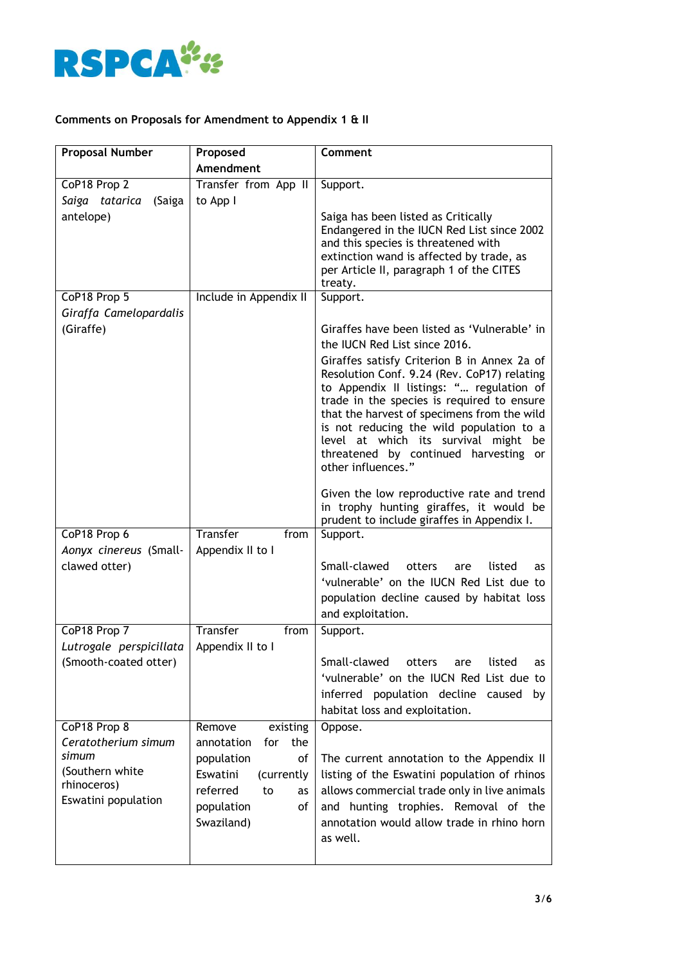

# **Comments on Proposals for Amendment to Appendix 1 & II**

| <b>Proposal Number</b>   | Proposed                 | <b>Comment</b>                                                                         |
|--------------------------|--------------------------|----------------------------------------------------------------------------------------|
|                          | Amendment                |                                                                                        |
| CoP18 Prop 2             | Transfer from App II     | Support.                                                                               |
| Saiga tatarica<br>(Saiga | to App I                 |                                                                                        |
| antelope)                |                          | Saiga has been listed as Critically                                                    |
|                          |                          | Endangered in the IUCN Red List since 2002                                             |
|                          |                          | and this species is threatened with<br>extinction wand is affected by trade, as        |
|                          |                          | per Article II, paragraph 1 of the CITES                                               |
|                          |                          | treaty.                                                                                |
| CoP18 Prop 5             | Include in Appendix II   | Support.                                                                               |
| Giraffa Camelopardalis   |                          |                                                                                        |
| (Giraffe)                |                          | Giraffes have been listed as 'Vulnerable' in                                           |
|                          |                          | the IUCN Red List since 2016.                                                          |
|                          |                          | Giraffes satisfy Criterion B in Annex 2a of                                            |
|                          |                          | Resolution Conf. 9.24 (Rev. CoP17) relating                                            |
|                          |                          | to Appendix II listings: " regulation of<br>trade in the species is required to ensure |
|                          |                          | that the harvest of specimens from the wild                                            |
|                          |                          | is not reducing the wild population to a                                               |
|                          |                          | level at which its survival might be                                                   |
|                          |                          | threatened by continued harvesting or<br>other influences."                            |
|                          |                          |                                                                                        |
|                          |                          | Given the low reproductive rate and trend                                              |
|                          |                          | in trophy hunting giraffes, it would be                                                |
| CoP18 Prop 6             | <b>Transfer</b><br>from  | prudent to include giraffes in Appendix I.<br>Support.                                 |
| Aonyx cinereus (Small-   | Appendix II to I         |                                                                                        |
| clawed otter)            |                          | Small-clawed<br>otters<br>listed<br>are<br>as                                          |
|                          |                          | 'vulnerable' on the IUCN Red List due to                                               |
|                          |                          | population decline caused by habitat loss                                              |
|                          |                          | and exploitation.                                                                      |
| CoP18 Prop 7             | Transfer<br>from         | Support.                                                                               |
| Lutrogale perspicillata  | Appendix II to I         |                                                                                        |
| (Smooth-coated otter)    |                          | Small-clawed<br>otters<br>listed<br>are<br>as                                          |
|                          |                          | 'vulnerable' on the IUCN Red List due to                                               |
|                          |                          | inferred population decline caused by                                                  |
|                          |                          | habitat loss and exploitation.                                                         |
| CoP18 Prop 8             | Remove<br>existing       | Oppose.                                                                                |
| Ceratotherium simum      | annotation<br>for<br>the |                                                                                        |
| simum                    | population<br>of         | The current annotation to the Appendix II                                              |
| (Southern white          | Eswatini<br>(currently   | listing of the Eswatini population of rhinos                                           |
| rhinoceros)              | referred<br>to<br>as     | allows commercial trade only in live animals                                           |
| Eswatini population      | population<br>of         | and hunting trophies. Removal of the                                                   |
|                          | Swaziland)               | annotation would allow trade in rhino horn                                             |
|                          |                          | as well.                                                                               |
|                          |                          |                                                                                        |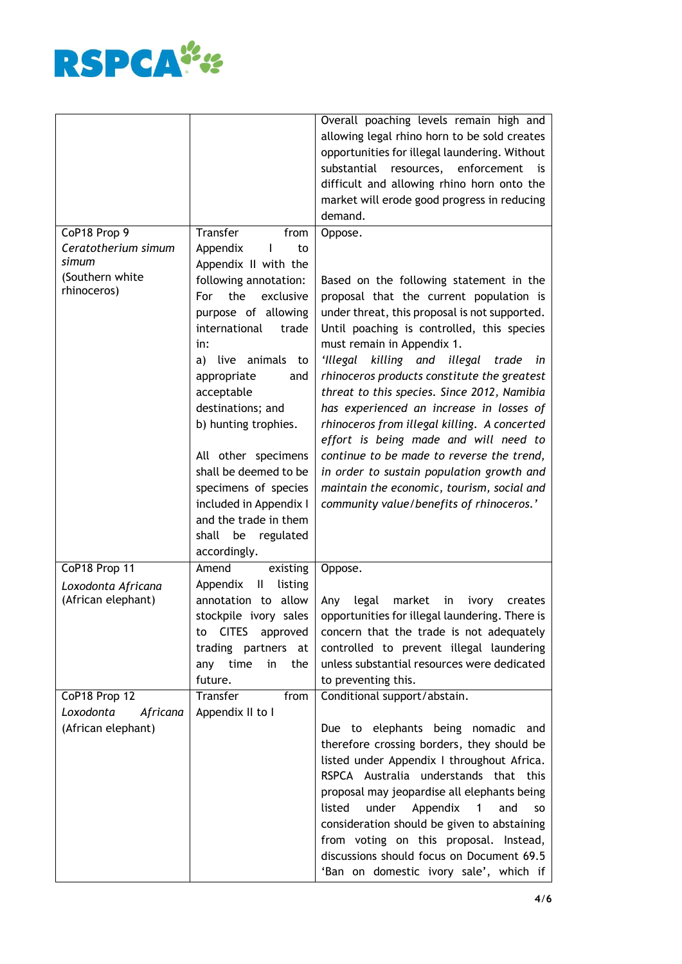

|                       |                                | Overall poaching levels remain high and                             |
|-----------------------|--------------------------------|---------------------------------------------------------------------|
|                       |                                | allowing legal rhino horn to be sold creates                        |
|                       |                                | opportunities for illegal laundering. Without                       |
|                       |                                | substantial resources, enforcement is                               |
|                       |                                | difficult and allowing rhino horn onto the                          |
|                       |                                | market will erode good progress in reducing                         |
|                       |                                | demand.                                                             |
| CoP18 Prop 9          | Transfer<br>from               | Oppose.                                                             |
| Ceratotherium simum   | Appendix<br>L<br>to            |                                                                     |
| simum                 | Appendix II with the           |                                                                     |
| (Southern white       | following annotation:          | Based on the following statement in the                             |
| rhinoceros)           | the<br>For<br>exclusive        |                                                                     |
|                       |                                | proposal that the current population is                             |
|                       | purpose of allowing            | under threat, this proposal is not supported.                       |
|                       | international<br>trade         | Until poaching is controlled, this species                          |
|                       | in:                            | must remain in Appendix 1.                                          |
|                       | live animals<br>a)<br>to       | 'Illegal killing and illegal trade in                               |
|                       | appropriate<br>and             | rhinoceros products constitute the greatest                         |
|                       | acceptable                     | threat to this species. Since 2012, Namibia                         |
|                       | destinations; and              | has experienced an increase in losses of                            |
|                       | b) hunting trophies.           | rhinoceros from illegal killing. A concerted                        |
|                       |                                | effort is being made and will need to                               |
|                       | All other specimens            | continue to be made to reverse the trend,                           |
|                       | shall be deemed to be          | in order to sustain population growth and                           |
|                       | specimens of species           | maintain the economic, tourism, social and                          |
|                       |                                |                                                                     |
|                       | included in Appendix I         | community value/benefits of rhinoceros.'                            |
|                       | and the trade in them          |                                                                     |
|                       | shall<br>be<br>regulated       |                                                                     |
|                       | accordingly.                   |                                                                     |
| CoP18 Prop 11         | Amend<br>existing              | Oppose.                                                             |
| Loxodonta Africana    | Appendix<br>listing<br>Ш       |                                                                     |
| (African elephant)    | annotation to allow            | legal<br>market<br>Any<br>in<br>ivory<br>creates                    |
|                       | stockpile ivory sales          | opportunities for illegal laundering. There is                      |
|                       | <b>CITES</b><br>approved<br>to | concern that the trade is not adequately                            |
|                       | trading partners at            | controlled to prevent illegal laundering                            |
|                       | any time<br>in<br>the          | unless substantial resources were dedicated                         |
|                       | future.                        | to preventing this.                                                 |
| CoP18 Prop 12         | Transfer<br>from               | Conditional support/abstain.                                        |
| Loxodonta<br>Africana | Appendix II to I               |                                                                     |
|                       |                                |                                                                     |
| (African elephant)    |                                | Due to elephants being nomadic and                                  |
|                       |                                | therefore crossing borders, they should be                          |
|                       |                                | listed under Appendix I throughout Africa.                          |
|                       |                                | RSPCA Australia understands that this                               |
|                       |                                | proposal may jeopardise all elephants being                         |
|                       |                                | listed<br>under<br>Appendix<br>and<br>$\blacksquare$ 1<br><b>SO</b> |
|                       |                                | consideration should be given to abstaining                         |
|                       |                                | from voting on this proposal. Instead,                              |
|                       |                                | discussions should focus on Document 69.5                           |
|                       |                                | 'Ban on domestic ivory sale', which if                              |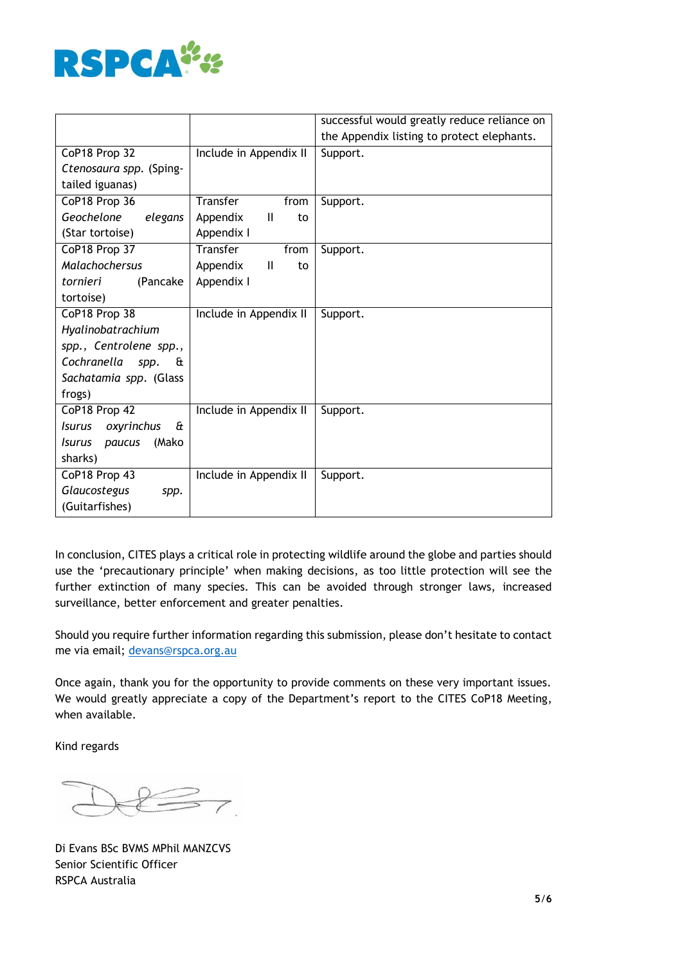

|                                  |                                | successful would greatly reduce reliance on |
|----------------------------------|--------------------------------|---------------------------------------------|
|                                  |                                | the Appendix listing to protect elephants.  |
| CoP18 Prop 32                    | Include in Appendix II         | Support.                                    |
| Ctenosaura spp. (Sping-          |                                |                                             |
| tailed iguanas)                  |                                |                                             |
| CoP18 Prop 36                    | Transfer<br>from               | Support.                                    |
| Geochelone<br>elegans            | Appendix<br>$\mathbf{H}$<br>to |                                             |
| (Star tortoise)                  | Appendix I                     |                                             |
| CoP18 Prop 37                    | Transfer<br>from               | Support.                                    |
| Malachochersus                   | Ш<br>Appendix<br>to            |                                             |
| (Pancake<br>tornieri             | Appendix I                     |                                             |
| tortoise)                        |                                |                                             |
| CoP18 Prop 38                    | Include in Appendix II         | Support.                                    |
| Hyalinobatrachium                |                                |                                             |
| spp., Centrolene spp.,           |                                |                                             |
| Cochranella<br>£<br>spp.         |                                |                                             |
| Sachatamia spp. (Glass           |                                |                                             |
| frogs)                           |                                |                                             |
| CoP18 Prop 42                    | Include in Appendix II         | Support.                                    |
| oxyrinchus<br>£<br><i>Isurus</i> |                                |                                             |
| (Mako<br><i>Isurus</i><br>paucus |                                |                                             |
| sharks)                          |                                |                                             |
| CoP18 Prop 43                    | Include in Appendix II         | Support.                                    |
| Glaucostegus<br>spp.             |                                |                                             |
| (Guitarfishes)                   |                                |                                             |

In conclusion, CITES plays a critical role in protecting wildlife around the globe and parties should use the 'precautionary principle' when making decisions, as too little protection will see the further extinction of many species. This can be avoided through stronger laws, increased surveillance, better enforcement and greater penalties.

Should you require further information regarding this submission, please don't hesitate to contact me via email; [devans@rspca.org.au](mailto:devans@rspca.org.au)

Once again, thank you for the opportunity to provide comments on these very important issues. We would greatly appreciate a copy of the Department's report to the CITES CoP18 Meeting, when available.

Kind regards

 $\overline{\phantom{a}}$ 

Di Evans BSc BVMS MPhil MANZCVS Senior Scientific Officer RSPCA Australia